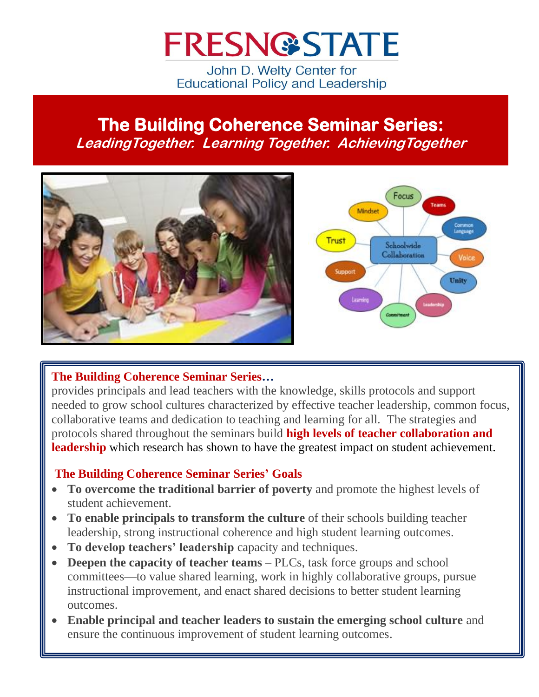# **FRESN@STATE**

John D. Welty Center for **Educational Policy and Leadership** 

## **The Building Coherence Seminar Series: LeadingTogether. Learning Together. AchievingTogether**



#### **The Building Coherence Seminar Series…**

provides principals and lead teachers with the knowledge, skills protocols and support needed to grow school cultures characterized by effective teacher leadership, common focus, collaborative teams and dedication to teaching and learning for all. The strategies and protocols shared throughout the seminars build **high levels of teacher collaboration and leadership** which research has shown to have the greatest impact on student achievement.

## **The Building Coherence Seminar Series' Goals**

- **To overcome the traditional barrier of poverty** and promote the highest levels of student achievement.
- **To enable principals to transform the culture** of their schools building teacher leadership, strong instructional coherence and high student learning outcomes.
- **To develop teachers' leadership** capacity and techniques.
- **Deepen the capacity of teacher teams** PLCs, task force groups and school committees—to value shared learning, work in highly collaborative groups, pursue instructional improvement, and enact shared decisions to better student learning outcomes.
- **Enable principal and teacher leaders to sustain the emerging school culture** and ensure the continuous improvement of student learning outcomes.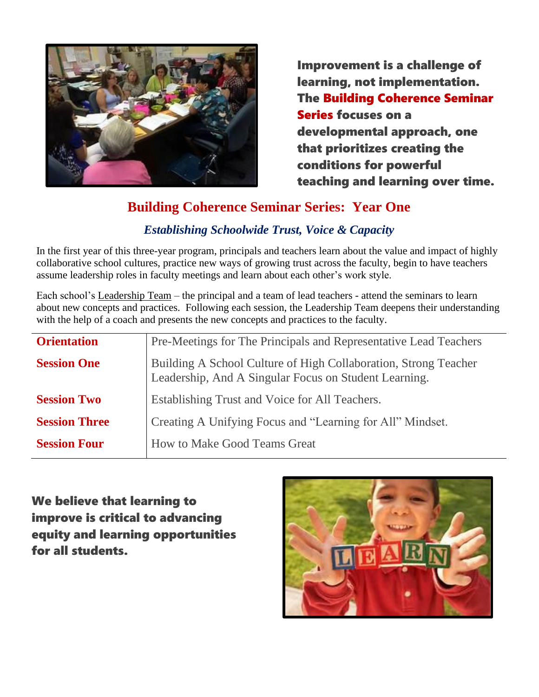

Improvement is a challenge of learning, not implementation. The Building Coherence Seminar Series focuses on a developmental approach, one that prioritizes creating the conditions for powerful teaching and learning over time.

## **Building Coherence Seminar Series: Year One**

## *Establishing Schoolwide Trust, Voice & Capacity*

In the first year of this three-year program, principals and teachers learn about the value and impact of highly collaborative school cultures, practice new ways of growing trust across the faculty, begin to have teachers assume leadership roles in faculty meetings and learn about each other's work style.

Each school's Leadership Team – the principal and a team of lead teachers - attend the seminars to learn about new concepts and practices. Following each session, the Leadership Team deepens their understanding with the help of a coach and presents the new concepts and practices to the faculty.

| <b>Orientation</b>   | Pre-Meetings for The Principals and Representative Lead Teachers                                                         |
|----------------------|--------------------------------------------------------------------------------------------------------------------------|
| <b>Session One</b>   | Building A School Culture of High Collaboration, Strong Teacher<br>Leadership, And A Singular Focus on Student Learning. |
| <b>Session Two</b>   | Establishing Trust and Voice for All Teachers.                                                                           |
| <b>Session Three</b> | Creating A Unifying Focus and "Learning for All" Mindset.                                                                |
| <b>Session Four</b>  | <b>How to Make Good Teams Great</b>                                                                                      |

We believe that learning to improve is critical to advancing equity and learning opportunities for all students.

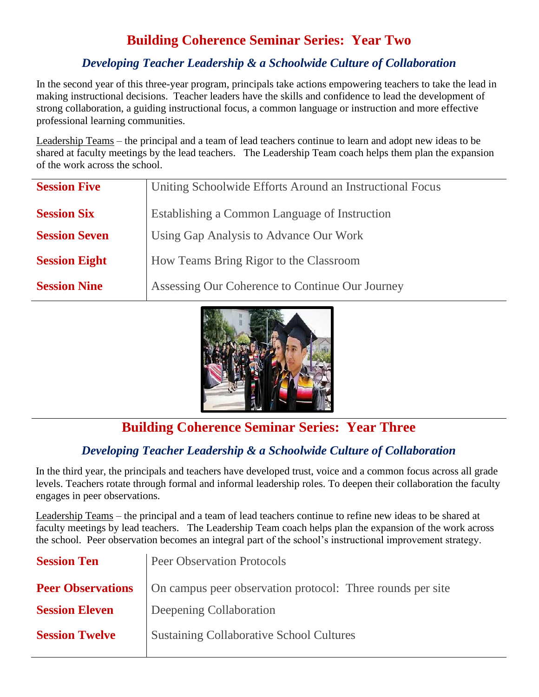## **Building Coherence Seminar Series: Year Two**

## *Developing Teacher Leadership & a Schoolwide Culture of Collaboration*

In the second year of this three-year program, principals take actions empowering teachers to take the lead in making instructional decisions. Teacher leaders have the skills and confidence to lead the development of strong collaboration, a guiding instructional focus, a common language or instruction and more effective professional learning communities.

Leadership Teams – the principal and a team of lead teachers continue to learn and adopt new ideas to be shared at faculty meetings by the lead teachers. The Leadership Team coach helps them plan the expansion of the work across the school.

| <b>Session Five</b>  | Uniting Schoolwide Efforts Around an Instructional Focus |
|----------------------|----------------------------------------------------------|
| <b>Session Six</b>   | Establishing a Common Language of Instruction            |
| <b>Session Seven</b> | Using Gap Analysis to Advance Our Work                   |
| <b>Session Eight</b> | How Teams Bring Rigor to the Classroom                   |
| <b>Session Nine</b>  | Assessing Our Coherence to Continue Our Journey          |



## **Building Coherence Seminar Series: Year Three**

## *Developing Teacher Leadership & a Schoolwide Culture of Collaboration*

In the third year, the principals and teachers have developed trust, voice and a common focus across all grade levels. Teachers rotate through formal and informal leadership roles. To deepen their collaboration the faculty engages in peer observations.

Leadership Teams – the principal and a team of lead teachers continue to refine new ideas to be shared at faculty meetings by lead teachers. The Leadership Team coach helps plan the expansion of the work across the school. Peer observation becomes an integral part of the school's instructional improvement strategy.

| <b>Session Ten</b>       | <b>Peer Observation Protocols</b>                          |
|--------------------------|------------------------------------------------------------|
| <b>Peer Observations</b> | On campus peer observation protocol: Three rounds per site |
| <b>Session Eleven</b>    | Deepening Collaboration                                    |
| <b>Session Twelve</b>    | <b>Sustaining Collaborative School Cultures</b>            |